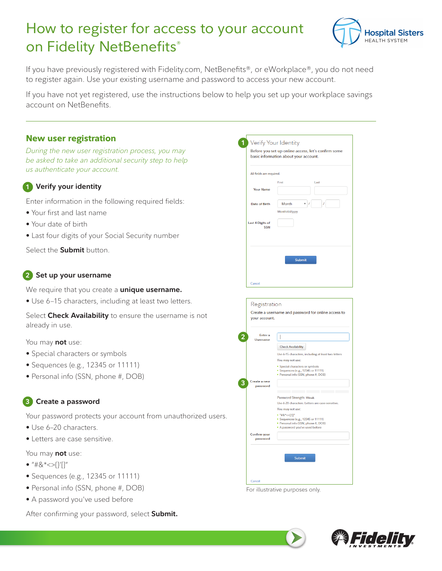# How to register for access to your account on Fidelity NetBenefits®



If you have previously registered with Fidelity.com, NetBenefits®, or eWorkplace®, you do not need to register again. Use your existing username and password to access your new account.

If you have not yet registered, use the instructions below to help you set up your workplace savings account on NetBenefits.

| <b>New user registration</b><br>During the new user registration process, you may<br>be asked to take an additional security step to help  | Verify Your Identity<br>Before you set up online access, let's confirm some<br>basic information about your account.                                                                                                                                                                  |  |  |  |  |  |
|--------------------------------------------------------------------------------------------------------------------------------------------|---------------------------------------------------------------------------------------------------------------------------------------------------------------------------------------------------------------------------------------------------------------------------------------|--|--|--|--|--|
| us authenticate your account.                                                                                                              | All fields are required.                                                                                                                                                                                                                                                              |  |  |  |  |  |
| Verify your identity                                                                                                                       | First<br>Last<br><b>Your Name</b>                                                                                                                                                                                                                                                     |  |  |  |  |  |
| Enter information in the following required fields:<br>. Your first and last name<br>• Your date of birth                                  | <b>Date of Birth</b><br>Month<br>Month/dd/yyyy<br>Last 4 Digits of                                                                                                                                                                                                                    |  |  |  |  |  |
| • Last four digits of your Social Security number                                                                                          | <b>SSN</b>                                                                                                                                                                                                                                                                            |  |  |  |  |  |
| Select the <b>Submit</b> button.                                                                                                           | <b>Submit</b>                                                                                                                                                                                                                                                                         |  |  |  |  |  |
| Set up your username                                                                                                                       | Cancel                                                                                                                                                                                                                                                                                |  |  |  |  |  |
| We require that you create a <b>unique username.</b>                                                                                       |                                                                                                                                                                                                                                                                                       |  |  |  |  |  |
| • Use 6-15 characters, including at least two letters.                                                                                     | Registration                                                                                                                                                                                                                                                                          |  |  |  |  |  |
| Select Check Availability to ensure the username is not<br>already in use.                                                                 | Create a username and password for online access to<br>your account.                                                                                                                                                                                                                  |  |  |  |  |  |
| 2<br>You may not use:<br>• Special characters or symbols<br>• Sequences (e.g., 12345 or 11111)<br>• Personal info (SSN, phone #, DOB)<br>з | <b>Enter</b> a<br><b>Username</b><br><b>Check Availability</b><br>Use 6-15 characters, including at least two letters<br>You may not use:<br>• Special characters or symbols<br>• Sequences (e.g., 12345 or 11111)<br>· Personal info (SSN, phone #, DOB)<br>Create a new<br>password |  |  |  |  |  |
| Create a password                                                                                                                          | <b>Password Strength: Weak</b><br>Use 6-20 characters. Letters are case-sensitive.                                                                                                                                                                                                    |  |  |  |  |  |
| Your password protects your account from unauthorized users.<br>• Use 6-20 characters.<br>• Letters are case sensitive.                    | You may not use:<br>■ "#&*⇔{}'[]"<br>• Sequences (e.g., 12345 or 11111)<br>· Personal info (SSN, phone #, DOB)<br>" A password you've used before<br>Confirm your<br>password                                                                                                         |  |  |  |  |  |
| You may not use:<br>• "#&*<>{}'[]"<br>• Sequences (e.g., 12345 or 11111)<br>• Personal info (SSN, phone #, DOB)                            | Submit<br>Cancel<br>For illustrative purposes only.                                                                                                                                                                                                                                   |  |  |  |  |  |
| • A password you've used before<br>After confirming your password, select Submit.                                                          |                                                                                                                                                                                                                                                                                       |  |  |  |  |  |



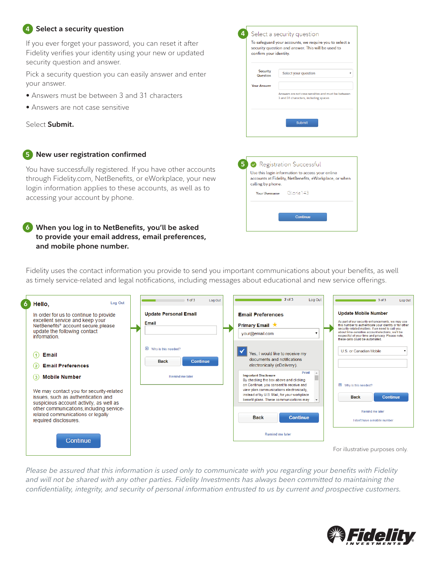#### **1 Select a security question 4**

If you ever forget your password, you can reset it after Fidelity verifies your identity using your new or updated security question and answer.

Pick a security question you can easily answer and enter your answer.

- Answers must be between 3 and 31 characters
- Answers are not case sensitive

Select **Submit.**

#### **1 New user registration confirmed 5**

You have successfully registered. If you have other accounts through Fidelity.com, NetBenefits, or eWorkplace, your new login information applies to these accounts, as well as to accessing your account by phone.

### **1 When you log in to NetBenefits, you'll be asked 6 to provide your email address, email preferences, and mobile phone number.**



Fidelity uses the contact information you provide to send you important communications about your benefits, as well as timely service-related and legal notifications, including messages about educational and new service offerings.

| 6. | Log Out<br>Hello,                                                                                                                                               | $1$ of $3$<br>Log Out                                          | 2 of 3<br>Log Out                                                                                                                                                             | 3 of 3<br>Log Out                                                                                                                                                                                                                                                                                                                         |
|----|-----------------------------------------------------------------------------------------------------------------------------------------------------------------|----------------------------------------------------------------|-------------------------------------------------------------------------------------------------------------------------------------------------------------------------------|-------------------------------------------------------------------------------------------------------------------------------------------------------------------------------------------------------------------------------------------------------------------------------------------------------------------------------------------|
|    | In order for us to continue to provide<br>excellent service and keep your<br>NetBenefits® account secure, please<br>update the following contact<br>information | <b>Update Personal Email</b><br>Email                          | <b>Email Preferences</b><br><b>Primary Email ★</b><br>your@email.com                                                                                                          | <b>Update Mobile Number</b><br>As part of our security enhancements, we may use<br>this number to authenticate your identity or for other<br>security-related matters. If we need to call you<br>about time-sensitive account elections, we'll be<br>respectful of your time and privacy. Please note,<br>these calls could be automated. |
|    | <b>Email</b><br>$\left( 1 \right)$<br><b>Email Preferences</b><br>(2)                                                                                           | <b>E</b> Why is this needed?<br><b>Continue</b><br><b>Back</b> | Yes, I would like to receive my<br>documents and notifications.<br>electronically (eDelivery).                                                                                | U.S. or Canadian Mobile                                                                                                                                                                                                                                                                                                                   |
|    | <b>Mobile Number</b><br>$\left( 3\right)$                                                                                                                       | Remind me later                                                | Print<br><b>Important Disclosure</b><br>By checking the box above and clicking                                                                                                |                                                                                                                                                                                                                                                                                                                                           |
|    | We may contact you for security-related<br>issues, such as authentication and<br>suspicious account activity, as well as                                        |                                                                | on Continue, you consent to receive and<br>view plan communications electronically.<br>instead of by U.S. Mail, for your workplace<br>benefit plans. These communications may | <b>E</b> Why is this needed?<br><b>Back</b><br><b>Continue</b>                                                                                                                                                                                                                                                                            |
|    | other communications, including service-<br>related communications or legally<br>required disclosures.                                                          |                                                                | <b>Back</b><br><b>Continue</b>                                                                                                                                                | Remind me later<br>I don't have a mobile number                                                                                                                                                                                                                                                                                           |
|    | <b>Continue</b>                                                                                                                                                 |                                                                | Remind me later                                                                                                                                                               |                                                                                                                                                                                                                                                                                                                                           |
|    |                                                                                                                                                                 |                                                                |                                                                                                                                                                               | For illustrative purposes only.                                                                                                                                                                                                                                                                                                           |

*Please be assured that this information is used only to communicate with you regarding your benefits with Fidelity and will not be shared with any other parties. Fidelity Investments has always been committed to maintaining the confidentiality, integrity, and security of personal information entrusted to us by current and prospective customers.*